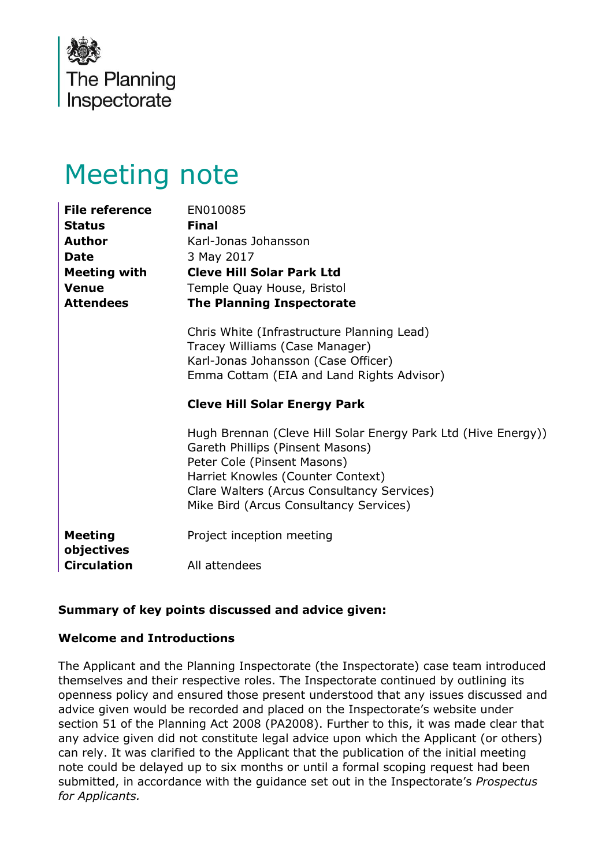

# Meeting note

| <b>File reference</b>        | EN010085                                                                                                                                                                                                                                                      |
|------------------------------|---------------------------------------------------------------------------------------------------------------------------------------------------------------------------------------------------------------------------------------------------------------|
| <b>Status</b>                | <b>Final</b>                                                                                                                                                                                                                                                  |
| <b>Author</b>                | Karl-Jonas Johansson                                                                                                                                                                                                                                          |
| <b>Date</b>                  | 3 May 2017                                                                                                                                                                                                                                                    |
| <b>Meeting with</b>          | <b>Cleve Hill Solar Park Ltd</b>                                                                                                                                                                                                                              |
| <b>Venue</b>                 | Temple Quay House, Bristol                                                                                                                                                                                                                                    |
| <b>Attendees</b>             | <b>The Planning Inspectorate</b>                                                                                                                                                                                                                              |
|                              | Chris White (Infrastructure Planning Lead)<br>Tracey Williams (Case Manager)<br>Karl-Jonas Johansson (Case Officer)<br>Emma Cottam (EIA and Land Rights Advisor)                                                                                              |
|                              | <b>Cleve Hill Solar Energy Park</b>                                                                                                                                                                                                                           |
|                              | Hugh Brennan (Cleve Hill Solar Energy Park Ltd (Hive Energy))<br>Gareth Phillips (Pinsent Masons)<br>Peter Cole (Pinsent Masons)<br>Harriet Knowles (Counter Context)<br>Clare Walters (Arcus Consultancy Services)<br>Mike Bird (Arcus Consultancy Services) |
| <b>Meeting</b><br>objectives | Project inception meeting                                                                                                                                                                                                                                     |
| <b>Circulation</b>           |                                                                                                                                                                                                                                                               |

# **Summary of key points discussed and advice given:**

# **Welcome and Introductions**

The Applicant and the Planning Inspectorate (the Inspectorate) case team introduced themselves and their respective roles. The Inspectorate continued by outlining its openness policy and ensured those present understood that any issues discussed and advice given would be recorded and placed on the Inspectorate's website under section 51 of the Planning Act 2008 (PA2008). Further to this, it was made clear that any advice given did not constitute legal advice upon which the Applicant (or others) can rely. It was clarified to the Applicant that the publication of the initial meeting note could be delayed up to six months or until a formal scoping request had been submitted, in accordance with the guidance set out in the Inspectorate's *Prospectus for Applicants.*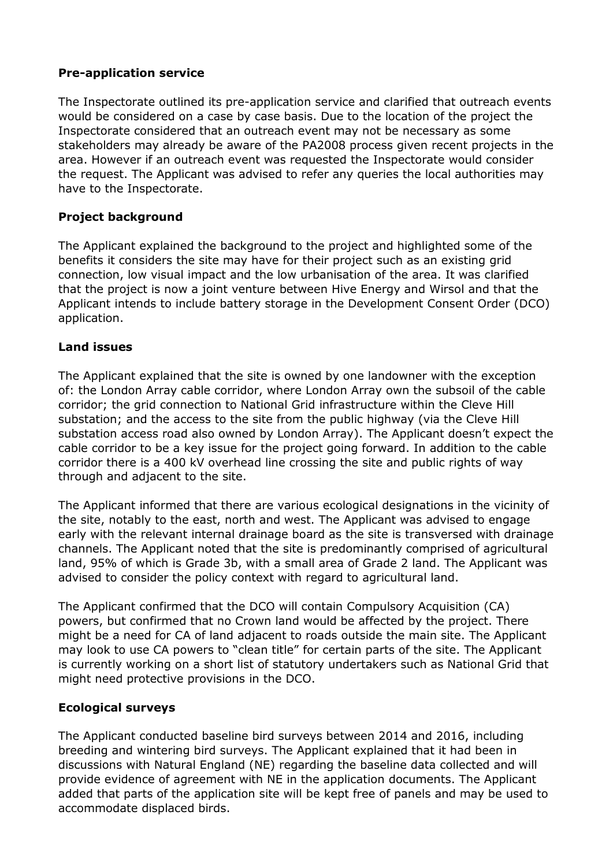## **Pre-application service**

The Inspectorate outlined its pre-application service and clarified that outreach events would be considered on a case by case basis. Due to the location of the project the Inspectorate considered that an outreach event may not be necessary as some stakeholders may already be aware of the PA2008 process given recent projects in the area. However if an outreach event was requested the Inspectorate would consider the request. The Applicant was advised to refer any queries the local authorities may have to the Inspectorate.

## **Project background**

The Applicant explained the background to the project and highlighted some of the benefits it considers the site may have for their project such as an existing grid connection, low visual impact and the low urbanisation of the area. It was clarified that the project is now a joint venture between Hive Energy and Wirsol and that the Applicant intends to include battery storage in the Development Consent Order (DCO) application.

#### **Land issues**

The Applicant explained that the site is owned by one landowner with the exception of: the London Array cable corridor, where London Array own the subsoil of the cable corridor; the grid connection to National Grid infrastructure within the Cleve Hill substation; and the access to the site from the public highway (via the Cleve Hill substation access road also owned by London Array). The Applicant doesn't expect the cable corridor to be a key issue for the project going forward. In addition to the cable corridor there is a 400 kV overhead line crossing the site and public rights of way through and adjacent to the site.

The Applicant informed that there are various ecological designations in the vicinity of the site, notably to the east, north and west. The Applicant was advised to engage early with the relevant internal drainage board as the site is transversed with drainage channels. The Applicant noted that the site is predominantly comprised of agricultural land, 95% of which is Grade 3b, with a small area of Grade 2 land. The Applicant was advised to consider the policy context with regard to agricultural land.

The Applicant confirmed that the DCO will contain Compulsory Acquisition (CA) powers, but confirmed that no Crown land would be affected by the project. There might be a need for CA of land adjacent to roads outside the main site. The Applicant may look to use CA powers to "clean title" for certain parts of the site. The Applicant is currently working on a short list of statutory undertakers such as National Grid that might need protective provisions in the DCO.

# **Ecological surveys**

The Applicant conducted baseline bird surveys between 2014 and 2016, including breeding and wintering bird surveys. The Applicant explained that it had been in discussions with Natural England (NE) regarding the baseline data collected and will provide evidence of agreement with NE in the application documents. The Applicant added that parts of the application site will be kept free of panels and may be used to accommodate displaced birds.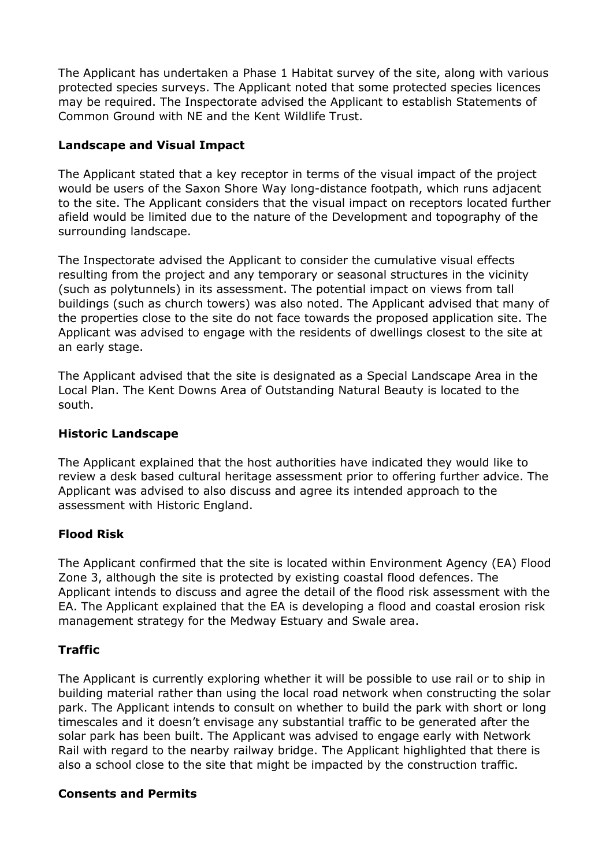The Applicant has undertaken a Phase 1 Habitat survey of the site, along with various protected species surveys. The Applicant noted that some protected species licences may be required. The Inspectorate advised the Applicant to establish Statements of Common Ground with NE and the Kent Wildlife Trust.

## **Landscape and Visual Impact**

The Applicant stated that a key receptor in terms of the visual impact of the project would be users of the Saxon Shore Way long-distance footpath, which runs adjacent to the site. The Applicant considers that the visual impact on receptors located further afield would be limited due to the nature of the Development and topography of the surrounding landscape.

The Inspectorate advised the Applicant to consider the cumulative visual effects resulting from the project and any temporary or seasonal structures in the vicinity (such as polytunnels) in its assessment. The potential impact on views from tall buildings (such as church towers) was also noted. The Applicant advised that many of the properties close to the site do not face towards the proposed application site. The Applicant was advised to engage with the residents of dwellings closest to the site at an early stage.

The Applicant advised that the site is designated as a Special Landscape Area in the Local Plan. The Kent Downs Area of Outstanding Natural Beauty is located to the south.

## **Historic Landscape**

The Applicant explained that the host authorities have indicated they would like to review a desk based cultural heritage assessment prior to offering further advice. The Applicant was advised to also discuss and agree its intended approach to the assessment with Historic England.

#### **Flood Risk**

The Applicant confirmed that the site is located within Environment Agency (EA) Flood Zone 3, although the site is protected by existing coastal flood defences. The Applicant intends to discuss and agree the detail of the flood risk assessment with the EA. The Applicant explained that the EA is developing a flood and coastal erosion risk management strategy for the Medway Estuary and Swale area.

#### **Traffic**

The Applicant is currently exploring whether it will be possible to use rail or to ship in building material rather than using the local road network when constructing the solar park. The Applicant intends to consult on whether to build the park with short or long timescales and it doesn't envisage any substantial traffic to be generated after the solar park has been built. The Applicant was advised to engage early with Network Rail with regard to the nearby railway bridge. The Applicant highlighted that there is also a school close to the site that might be impacted by the construction traffic.

#### **Consents and Permits**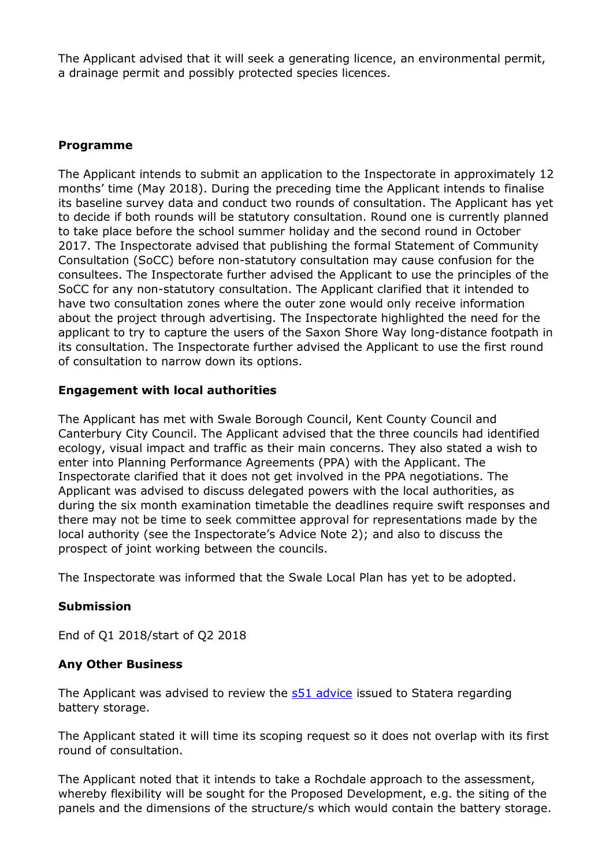The Applicant advised that it will seek a generating licence, an environmental permit, a drainage permit and possibly protected species licences.

## **Programme**

The Applicant intends to submit an application to the Inspectorate in approximately 12 months' time (May 2018). During the preceding time the Applicant intends to finalise its baseline survey data and conduct two rounds of consultation. The Applicant has yet to decide if both rounds will be statutory consultation. Round one is currently planned to take place before the school summer holiday and the second round in October 2017. The Inspectorate advised that publishing the formal Statement of Community Consultation (SoCC) before non-statutory consultation may cause confusion for the consultees. The Inspectorate further advised the Applicant to use the principles of the SoCC for any non-statutory consultation. The Applicant clarified that it intended to have two consultation zones where the outer zone would only receive information about the project through advertising. The Inspectorate highlighted the need for the applicant to try to capture the users of the Saxon Shore Way long-distance footpath in its consultation. The Inspectorate further advised the Applicant to use the first round of consultation to narrow down its options.

## **Engagement with local authorities**

The Applicant has met with Swale Borough Council, Kent County Council and Canterbury City Council. The Applicant advised that the three councils had identified ecology, visual impact and traffic as their main concerns. They also stated a wish to enter into Planning Performance Agreements (PPA) with the Applicant. The Inspectorate clarified that it does not get involved in the PPA negotiations. The Applicant was advised to discuss delegated powers with the local authorities, as during the six month examination timetable the deadlines require swift responses and there may not be time to seek committee approval for representations made by the local authority (see the Inspectorate's Advice Note 2); and also to discuss the prospect of joint working between the councils.

The Inspectorate was informed that the Swale Local Plan has yet to be adopted.

# **Submission**

End of Q1 2018/start of Q2 2018

#### **Any Other Business**

The Applicant was advised to review the s51 [advice](https://infrastructure.planninginspectorate.gov.uk/wp-content/ipc/uploads/projects/General/General-Advice-00606-1-161014_Statera%20PINS%20meeting%20Note%20Final.pdf) issued to Statera regarding battery storage.

The Applicant stated it will time its scoping request so it does not overlap with its first round of consultation.

The Applicant noted that it intends to take a Rochdale approach to the assessment, whereby flexibility will be sought for the Proposed Development, e.g. the siting of the panels and the dimensions of the structure/s which would contain the battery storage.